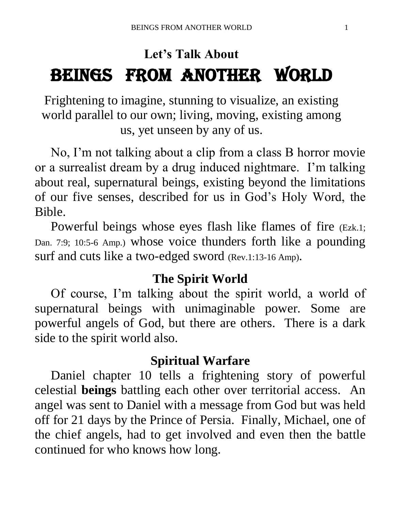## **Let's Talk About** BEINGS FROM ANOTHER WORLD

Frightening to imagine, stunning to visualize, an existing world parallel to our own; living, moving, existing among us, yet unseen by any of us.

 No, I'm not talking about a clip from a class B horror movie or a surrealist dream by a drug induced nightmare. I'm talking about real, supernatural beings, existing beyond the limitations of our five senses, described for us in God's Holy Word, the Bible.

 Powerful beings whose eyes flash like flames of fire (Ezk.1; Dan. 7:9; 10:5-6 Amp.) whose voice thunders forth like a pounding surf and cuts like a two-edged sword (Rev.1:13-16 Amp).

#### **The Spirit World**

 Of course, I'm talking about the spirit world, a world of supernatural beings with unimaginable power. Some are powerful angels of God, but there are others. There is a dark side to the spirit world also.

## **Spiritual Warfare**

 Daniel chapter 10 tells a frightening story of powerful celestial **beings** battling each other over territorial access. An angel was sent to Daniel with a message from God but was held off for 21 days by the Prince of Persia. Finally, Michael, one of the chief angels, had to get involved and even then the battle continued for who knows how long.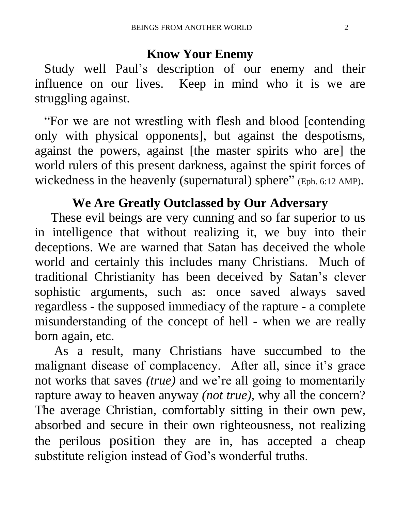## **Know Your Enemy**

 Study well Paul's description of our enemy and their influence on our lives. Keep in mind who it is we are struggling against.

 "For we are not wrestling with flesh and blood [contending only with physical opponents], but against the despotisms, against the powers, against [the master spirits who are] the world rulers of this present darkness, against the spirit forces of wickedness in the heavenly (supernatural) sphere" (Eph. 6:12 AMP).

## **We Are Greatly Outclassed by Our Adversary**

 These evil beings are very cunning and so far superior to us in intelligence that without realizing it, we buy into their deceptions. We are warned that Satan has deceived the whole world and certainly this includes many Christians. Much of traditional Christianity has been deceived by Satan's clever sophistic arguments, such as: once saved always saved regardless - the supposed immediacy of the rapture - a complete misunderstanding of the concept of hell - when we are really born again, etc.

 As a result, many Christians have succumbed to the malignant disease of complacency. After all, since it's grace not works that saves *(true)* and we're all going to momentarily rapture away to heaven anyway *(not true)*, why all the concern? The average Christian, comfortably sitting in their own pew, absorbed and secure in their own righteousness, not realizing the perilous position they are in, has accepted a cheap substitute religion instead of God's wonderful truths.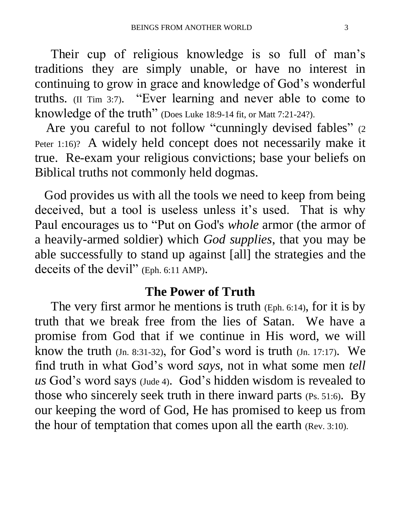Their cup of religious knowledge is so full of man's traditions they are simply unable, or have no interest in continuing to grow in grace and knowledge of God's wonderful truths. (II Tim 3:7). "Ever learning and never able to come to knowledge of the truth" (Does Luke 18:9-14 fit, or Matt 7:21-24?).

Are you careful to not follow "cunningly devised fables" (2) Peter 1:16)? A widely held concept does not necessarily make it true. Re-exam your religious convictions; base your beliefs on Biblical truths not commonly held dogmas.

 God provides us with all the tools we need to keep from being deceived, but a tool is useless unless it's used. That is why Paul encourages us to "Put on God's *whole* armor (the armor of a heavily-armed soldier) which *God supplies*, that you may be able successfully to stand up against [all] the strategies and the deceits of the devil" (Eph. 6:11 AMP).

#### **The Power of Truth**

 The very first armor he mentions is truth (Eph. 6:14), for it is by truth that we break free from the lies of Satan. We have a promise from God that if we continue in His word, we will know the truth (Jn. 8:31-32), for God's word is truth (Jn. 17:17). We find truth in what God's word *says*, not in what some men *tell us* God's word says (Jude 4). God's hidden wisdom is revealed to those who sincerely seek truth in there inward parts (Ps. 51:6). By our keeping the word of God, He has promised to keep us from the hour of temptation that comes upon all the earth (Rev. 3:10).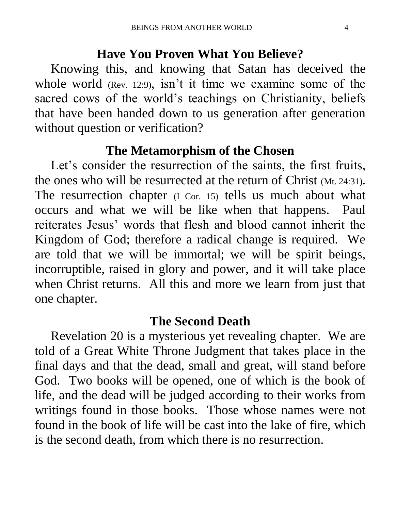#### **Have You Proven What You Believe?**

 Knowing this, and knowing that Satan has deceived the whole world (Rev. 12:9), isn't it time we examine some of the sacred cows of the world's teachings on Christianity, beliefs that have been handed down to us generation after generation without question or verification?

#### **The Metamorphism of the Chosen**

Let's consider the resurrection of the saints, the first fruits, the ones who will be resurrected at the return of Christ (Mt. 24:31). The resurrection chapter (I Cor. 15) tells us much about what occurs and what we will be like when that happens. Paul reiterates Jesus' words that flesh and blood cannot inherit the Kingdom of God; therefore a radical change is required. We are told that we will be immortal; we will be spirit beings, incorruptible, raised in glory and power, and it will take place when Christ returns. All this and more we learn from just that one chapter.

#### **The Second Death**

 Revelation 20 is a mysterious yet revealing chapter. We are told of a Great White Throne Judgment that takes place in the final days and that the dead, small and great, will stand before God. Two books will be opened, one of which is the book of life, and the dead will be judged according to their works from writings found in those books. Those whose names were not found in the book of life will be cast into the lake of fire, which is the second death, from which there is no resurrection.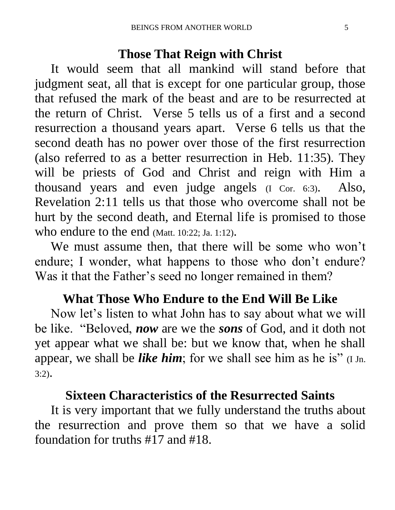## **Those That Reign with Christ**

 It would seem that all mankind will stand before that judgment seat, all that is except for one particular group, those that refused the mark of the beast and are to be resurrected at the return of Christ. Verse 5 tells us of a first and a second resurrection a thousand years apart. Verse 6 tells us that the second death has no power over those of the first resurrection (also referred to as a better resurrection in Heb. 11:35). They will be priests of God and Christ and reign with Him a thousand years and even judge angels (I Cor. 6:3). Also, Revelation 2:11 tells us that those who overcome shall not be hurt by the second death, and Eternal life is promised to those who endure to the end (Matt. 10:22; Ja. 1:12).

 We must assume then, that there will be some who won't endure; I wonder, what happens to those who don't endure? Was it that the Father's seed no longer remained in them?

## **What Those Who Endure to the End Will Be Like**

 Now let's listen to what John has to say about what we will be like. "Beloved, *now* are we the *sons* of God, and it doth not yet appear what we shall be: but we know that, when he shall appear, we shall be *like him*; for we shall see him as he is" (I Jn. 3:2).

## **Sixteen Characteristics of the Resurrected Saints**

 It is very important that we fully understand the truths about the resurrection and prove them so that we have a solid foundation for truths #17 and #18.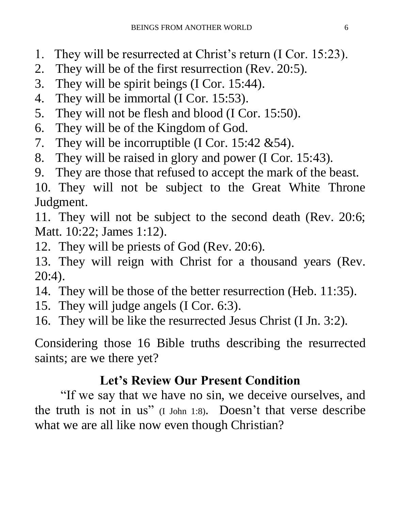- 1. They will be resurrected at Christ's return (I Cor. 15:23).
- 2. They will be of the first resurrection (Rev. 20:5).
- 3. They will be spirit beings (I Cor. 15:44).
- 4. They will be immortal (I Cor. 15:53).
- 5. They will not be flesh and blood (I Cor. 15:50).
- 6. They will be of the Kingdom of God.
- 7. They will be incorruptible (I Cor. 15:42 &54).
- 8. They will be raised in glory and power (I Cor. 15:43).
- 9. They are those that refused to accept the mark of the beast.

10. They will not be subject to the Great White Throne Judgment.

11. They will not be subject to the second death (Rev. 20:6; Matt. 10:22; James 1:12).

12. They will be priests of God (Rev. 20:6).

13. They will reign with Christ for a thousand years (Rev. 20:4).

- 14. They will be those of the better resurrection (Heb. 11:35).
- 15. They will judge angels (I Cor. 6:3).
- 16. They will be like the resurrected Jesus Christ (I Jn. 3:2).

Considering those 16 Bible truths describing the resurrected saints; are we there yet?

## **Let's Review Our Present Condition**

 "If we say that we have no sin, we deceive ourselves, and the truth is not in us" (I John 1:8). Doesn't that verse describe what we are all like now even though Christian?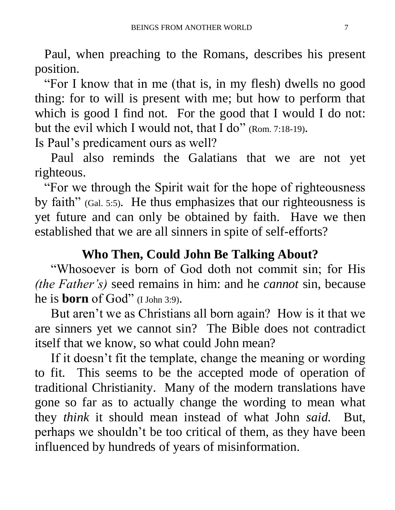Paul, when preaching to the Romans, describes his present position.

 "For I know that in me (that is, in my flesh) dwells no good thing: for to will is present with me; but how to perform that which is good I find not. For the good that I would I do not: but the evil which I would not, that I do" (Rom. 7:18-19).

Is Paul's predicament ours as well?

 Paul also reminds the Galatians that we are not yet righteous.

 "For we through the Spirit wait for the hope of righteousness by faith" (Gal. 5:5). He thus emphasizes that our righteousness is yet future and can only be obtained by faith. Have we then established that we are all sinners in spite of self-efforts?

## **Who Then, Could John Be Talking About?**

 "Whosoever is born of God doth not commit sin; for His *(the Father's)* seed remains in him: and he *cannot* sin, because he is **born** of God" (I John 3:9).

 But aren't we as Christians all born again? How is it that we are sinners yet we cannot sin? The Bible does not contradict itself that we know, so what could John mean?

 If it doesn't fit the template, change the meaning or wording to fit. This seems to be the accepted mode of operation of traditional Christianity. Many of the modern translations have gone so far as to actually change the wording to mean what they *think* it should mean instead of what John *said.* But, perhaps we shouldn't be too critical of them, as they have been influenced by hundreds of years of misinformation.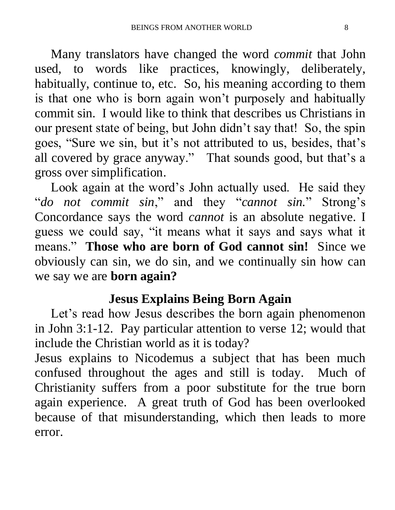Many translators have changed the word *commit* that John used, to words like practices, knowingly, deliberately, habitually, continue to, etc. So, his meaning according to them is that one who is born again won't purposely and habitually commit sin. I would like to think that describes us Christians in our present state of being, but John didn't say that! So, the spin goes, "Sure we sin, but it's not attributed to us, besides, that's all covered by grace anyway." That sounds good, but that's a gross over simplification.

 Look again at the word's John actually used. He said they "*do not commit sin*," and they "*cannot sin.*" Strong's Concordance says the word *cannot* is an absolute negative. I guess we could say, "it means what it says and says what it means." **Those who are born of God cannot sin!** Since we obviously can sin, we do sin, and we continually sin how can we say we are **born again?** 

## **Jesus Explains Being Born Again**

Let's read how Jesus describes the born again phenomenon in John 3:1-12. Pay particular attention to verse 12; would that include the Christian world as it is today?

Jesus explains to Nicodemus a subject that has been much confused throughout the ages and still is today. Much of Christianity suffers from a poor substitute for the true born again experience. A great truth of God has been overlooked because of that misunderstanding, which then leads to more error.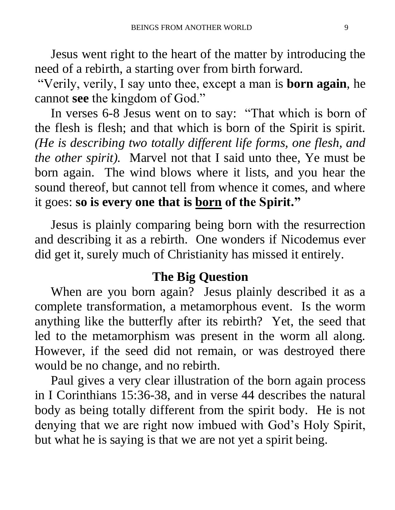Jesus went right to the heart of the matter by introducing the need of a rebirth, a starting over from birth forward.

"Verily, verily, I say unto thee, except a man is **born again**, he cannot **see** the kingdom of God."

 In verses 6-8 Jesus went on to say: "That which is born of the flesh is flesh; and that which is born of the Spirit is spirit. *(He is describing two totally different life forms, one flesh, and the other spirit).* Marvel not that I said unto thee, Ye must be born again. The wind blows where it lists, and you hear the sound thereof, but cannot tell from whence it comes, and where it goes: **so is every one that is born of the Spirit."** 

Jesus is plainly comparing being born with the resurrection and describing it as a rebirth. One wonders if Nicodemus ever did get it, surely much of Christianity has missed it entirely.

## **The Big Question**

 When are you born again? Jesus plainly described it as a complete transformation, a metamorphous event. Is the worm anything like the butterfly after its rebirth? Yet, the seed that led to the metamorphism was present in the worm all along. However, if the seed did not remain, or was destroyed there would be no change, and no rebirth.

 Paul gives a very clear illustration of the born again process in I Corinthians 15:36-38, and in verse 44 describes the natural body as being totally different from the spirit body. He is not denying that we are right now imbued with God's Holy Spirit, but what he is saying is that we are not yet a spirit being.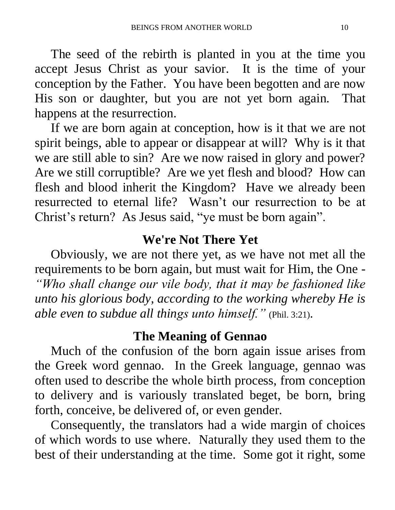The seed of the rebirth is planted in you at the time you accept Jesus Christ as your savior. It is the time of your conception by the Father. You have been begotten and are now His son or daughter, but you are not yet born again. That happens at the resurrection.

 If we are born again at conception, how is it that we are not spirit beings, able to appear or disappear at will? Why is it that we are still able to sin? Are we now raised in glory and power? Are we still corruptible? Are we yet flesh and blood? How can flesh and blood inherit the Kingdom? Have we already been resurrected to eternal life? Wasn't our resurrection to be at Christ's return? As Jesus said, "ye must be born again".

## **We're Not There Yet**

 Obviously, we are not there yet, as we have not met all the requirements to be born again, but must wait for Him, the One - *"Who shall change our vile body, that it may be fashioned like unto his glorious body, according to the working whereby He is able even to subdue all things unto himself."* (Phil. 3:21).

## **The Meaning of Gennao**

 Much of the confusion of the born again issue arises from the Greek word gennao. In the Greek language, gennao was often used to describe the whole birth process, from conception to delivery and is variously translated beget, be born, bring forth, conceive, be delivered of, or even gender.

 Consequently, the translators had a wide margin of choices of which words to use where. Naturally they used them to the best of their understanding at the time. Some got it right, some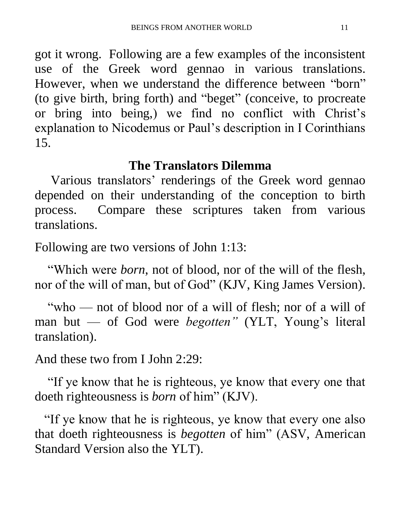got it wrong. Following are a few examples of the inconsistent use of the Greek word gennao in various translations. However, when we understand the difference between "born" (to give birth, bring forth) and "beget" (conceive, to procreate or bring into being,) we find no conflict with Christ's explanation to Nicodemus or Paul's description in I Corinthians 15.

## **The Translators Dilemma**

 Various translators' renderings of the Greek word gennao depended on their understanding of the conception to birth process. Compare these scriptures taken from various translations.

Following are two versions of John 1:13:

 "Which were *born*, not of blood, nor of the will of the flesh, nor of the will of man, but of God" (KJV, King James Version).

 "who — not of blood nor of a will of flesh; nor of a will of man but — of God were *begotten"* (YLT, Young's literal translation).

And these two from I John 2:29:

 "If ye know that he is righteous, ye know that every one that doeth righteousness is *born* of him" (KJV).

 "If ye know that he is righteous, ye know that every one also that doeth righteousness is *begotten* of him" (ASV, American Standard Version also the YLT).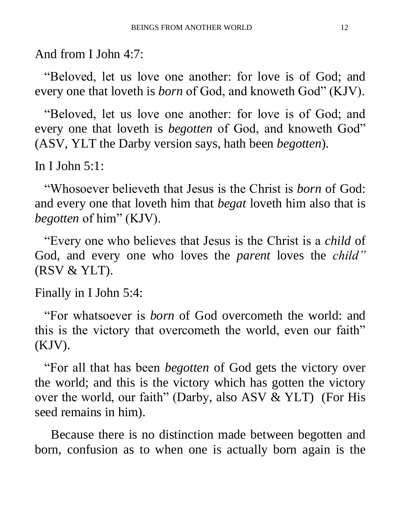And from I John 4:7:

 "Beloved, let us love one another: for love is of God; and every one that loveth is *born* of God, and knoweth God" (KJV).

 "Beloved, let us love one another: for love is of God; and every one that loveth is *begotten* of God, and knoweth God" (ASV, YLT the Darby version says, hath been *begotten*).

In I John 5:1:

 "Whosoever believeth that Jesus is the Christ is *born* of God: and every one that loveth him that *begat* loveth him also that is *begotten* of him" (KJV).

 "Every one who believes that Jesus is the Christ is a *child* of God, and every one who loves the *parent* loves the *child"* (RSV & YLT).

Finally in I John 5:4:

 "For whatsoever is *born* of God overcometh the world: and this is the victory that overcometh the world, even our faith" (KJV).

 "For all that has been *begotten* of God gets the victory over the world; and this is the victory which has gotten the victory over the world, our faith" (Darby, also ASV & YLT) (For His seed remains in him).

 Because there is no distinction made between begotten and born, confusion as to when one is actually born again is the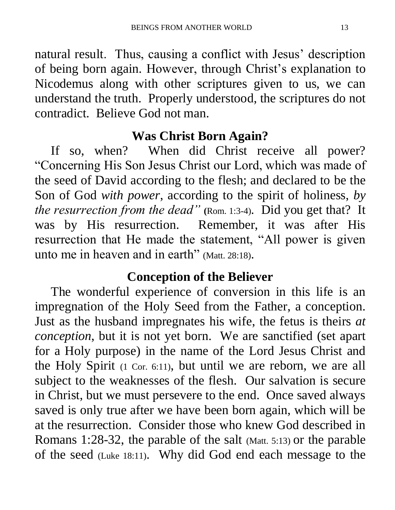natural result. Thus, causing a conflict with Jesus' description of being born again. However, through Christ's explanation to Nicodemus along with other scriptures given to us, we can understand the truth. Properly understood, the scriptures do not contradict. Believe God not man.

## **Was Christ Born Again?**

 If so, when? When did Christ receive all power? "Concerning His Son Jesus Christ our Lord, which was made of the seed of David according to the flesh; and declared to be the Son of God *with power*, according to the spirit of holiness, *by the resurrection from the dead*" (Rom. 1:3-4). Did you get that? It was by His resurrection. Remember, it was after His resurrection that He made the statement, "All power is given unto me in heaven and in earth" (Matt. 28:18).

## **Conception of the Believer**

 The wonderful experience of conversion in this life is an impregnation of the Holy Seed from the Father, a conception. Just as the husband impregnates his wife, the fetus is theirs *at conception*, but it is not yet born. We are sanctified (set apart for a Holy purpose) in the name of the Lord Jesus Christ and the Holy Spirit (1 Cor. 6:11), but until we are reborn, we are all subject to the weaknesses of the flesh. Our salvation is secure in Christ, but we must persevere to the end. Once saved always saved is only true after we have been born again, which will be at the resurrection. Consider those who knew God described in Romans 1:28-32, the parable of the salt (Matt. 5:13) or the parable of the seed (Luke 18:11). Why did God end each message to the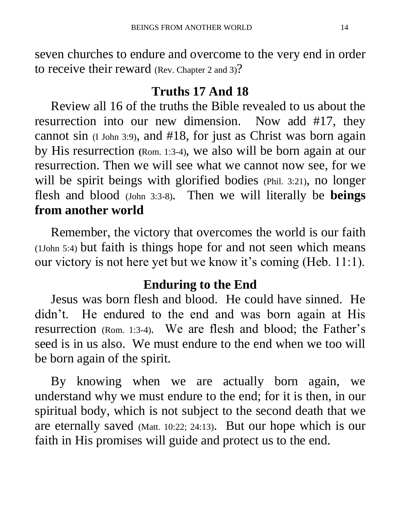seven churches to endure and overcome to the very end in order to receive their reward (Rev. Chapter 2 and 3)?

## **Truths 17 And 18**

 Review all 16 of the truths the Bible revealed to us about the resurrection into our new dimension. Now add #17, they cannot sin (I John 3:9), and #18, for just as Christ was born again by His resurrection **(**Rom. 1:3-4), we also will be born again at our resurrection. Then we will see what we cannot now see, for we will be spirit beings with glorified bodies (Phil. 3:21), no longer flesh and blood (John 3:3-8). Then we will literally be **beings from another world**

 Remember, the victory that overcomes the world is our faith (1John 5:4) but faith is things hope for and not seen which means our victory is not here yet but we know it's coming (Heb. 11:1).

## **Enduring to the End**

 Jesus was born flesh and blood. He could have sinned. He didn't. He endured to the end and was born again at His resurrection (Rom. 1:3-4). We are flesh and blood; the Father's seed is in us also. We must endure to the end when we too will be born again of the spirit.

 By knowing when we are actually born again, we understand why we must endure to the end; for it is then, in our spiritual body, which is not subject to the second death that we are eternally saved (Matt. 10:22; 24:13). But our hope which is our faith in His promises will guide and protect us to the end.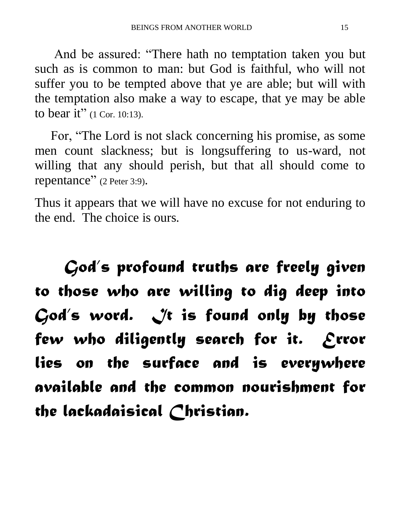And be assured: "There hath no temptation taken you but such as is common to man: but God is faithful, who will not suffer you to be tempted above that ye are able; but will with the temptation also make a way to escape, that ye may be able to bear it" (1 Cor. 10:13).

 For, "The Lord is not slack concerning his promise, as some men count slackness; but is longsuffering to us-ward, not willing that any should perish, but that all should come to repentance" (2 Peter 3:9).

Thus it appears that we will have no excuse for not enduring to the end. The choice is ours.

 *God's profound truths are freely given to those who are willing to dig deep into*  God's word. It is found only by those *few who diligently search for it. Error lies on the surface and is everywhere available and the common nourishment for the lackadaisical Christian.*